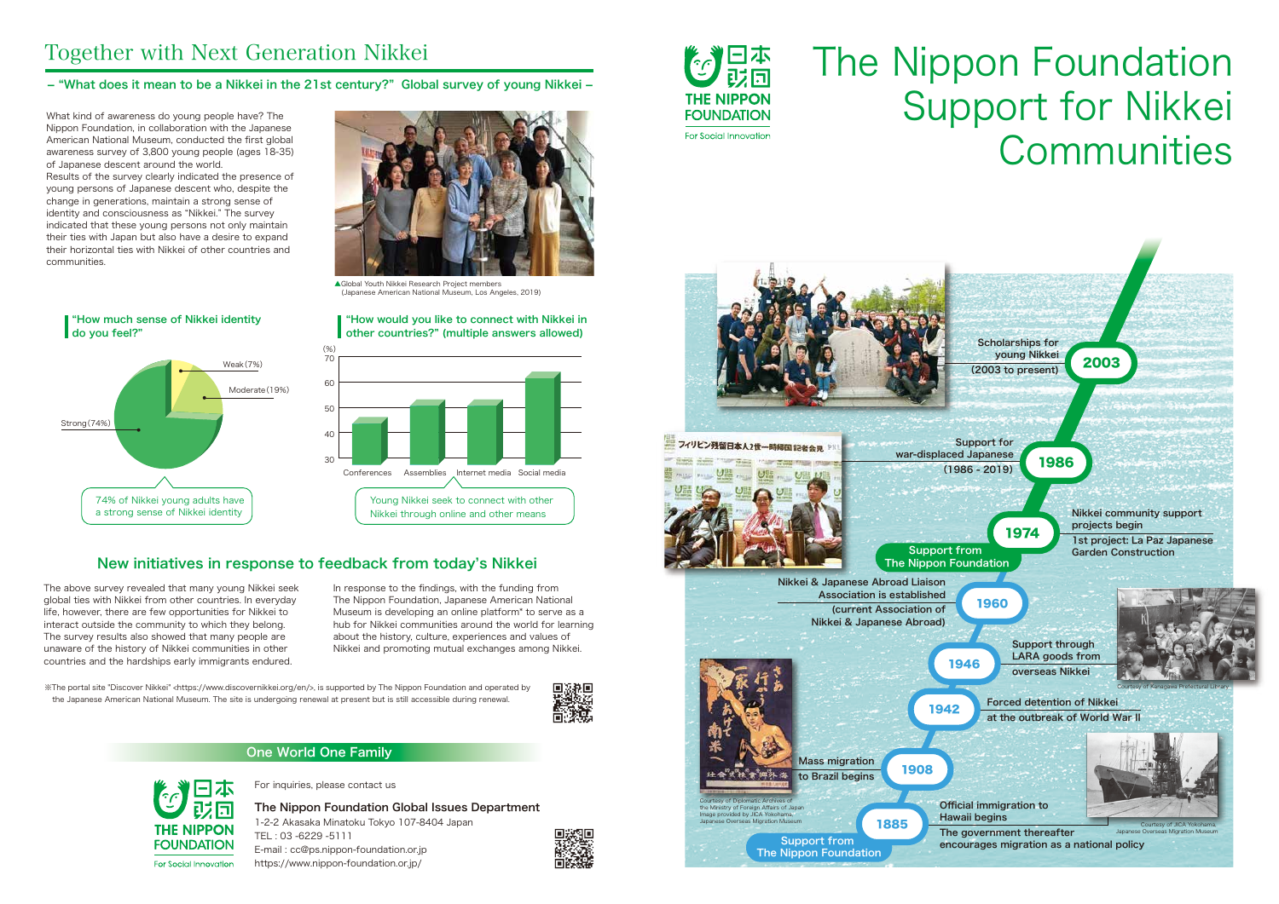What kind of awareness do young people have? The Nippon Foundation, in collaboration with the Japanese American National Museum, conducted the first global awareness survey of 3,800 young people (ages 18-35) of Japanese descent around the world.

Results of the survey clearly indicated the presence of young persons of Japanese descent who, despite the change in generations, maintain a strong sense of identity and consciousness as "Nikkei." The survey indicated that these young persons not only maintain their ties with Japan but also have a desire to expand their horizontal ties with Nikkei of other countries and communities.

The above survey revealed that many young Nikkei seek global ties with Nikkei from other countries. In everyday life, however, there are few opportunities for Nikkei to interact outside the community to which they belong. The survey results also showed that many people are unaware of the history of Nikkei communities in other countries and the hardships early immigrants endured.

In response to the findings, with the funding from The Nippon Foundation, Japanese American National Museum is developing an online platform\* to serve as a hub for Nikkei communities around the world for learning about the history, culture, experiences and values of Nikkei and promoting mutual exchanges among Nikkei.

※The portal site "Discover Nikkei" <https://www.discovernikkei.org/en/>, is supported by The Nippon Foundation and operated by the Japanese American National Museum. The site is undergoing renewal at present but is still accessible during renewal.



# Together with Next Generation Nikkei

For inquiries, please contact us

The Nippon Foundation Global Issues Department 1-2-2 Akasaka Minatoku Tokyo 107-8404 Japan TEL : 03 -6229 -5111 E-mail : cc@ps.nippon-foundation.or.jp https://www.nippon-foundation.or.jp/









#### - "What does it mean to be a Nikkei in the 21st century?" Global survey of young Nikkei -

## New initiatives in response to feedback from today's Nikkei



▲Global Youth Nikkei Research Project members (Japanese American National Museum, Los Angeles, 2019)





# The Nippon Foundation THE NIPPON Support for Nikkei Communities

### One World One Family